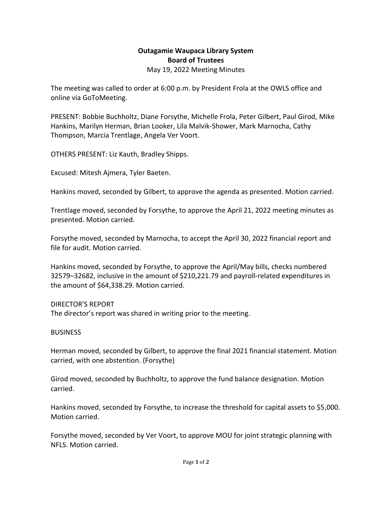## **Outagamie Waupaca Library System Board of Trustees** May 19, 2022 Meeting Minutes

The meeting was called to order at 6:00 p.m. by President Frola at the OWLS office and online via GoToMeeting.

PRESENT: Bobbie Buchholtz, Diane Forsythe, Michelle Frola, Peter Gilbert, Paul Girod, Mike Hankins, Marilyn Herman, Brian Looker, Lila Malvik-Shower, Mark Marnocha, Cathy Thompson, Marcia Trentlage, Angela Ver Voort.

OTHERS PRESENT: Liz Kauth, Bradley Shipps.

Excused: Mitesh Ajmera, Tyler Baeten.

Hankins moved, seconded by Gilbert, to approve the agenda as presented. Motion carried.

Trentlage moved, seconded by Forsythe, to approve the April 21, 2022 meeting minutes as presented. Motion carried.

Forsythe moved, seconded by Marnocha, to accept the April 30, 2022 financial report and file for audit. Motion carried.

Hankins moved, seconded by Forsythe, to approve the April/May bills, checks numbered 32579–32682, inclusive in the amount of \$210,221.79 and payroll-related expenditures in the amount of \$64,338.29. Motion carried.

## DIRECTOR'S REPORT

The director's report was shared in writing prior to the meeting.

## **BUSINESS**

Herman moved, seconded by Gilbert, to approve the final 2021 financial statement. Motion carried, with one abstention. (Forsythe)

Girod moved, seconded by Buchholtz, to approve the fund balance designation. Motion carried.

Hankins moved, seconded by Forsythe, to increase the threshold for capital assets to \$5,000. Motion carried.

Forsythe moved, seconded by Ver Voort, to approve MOU for joint strategic planning with NFLS. Motion carried.